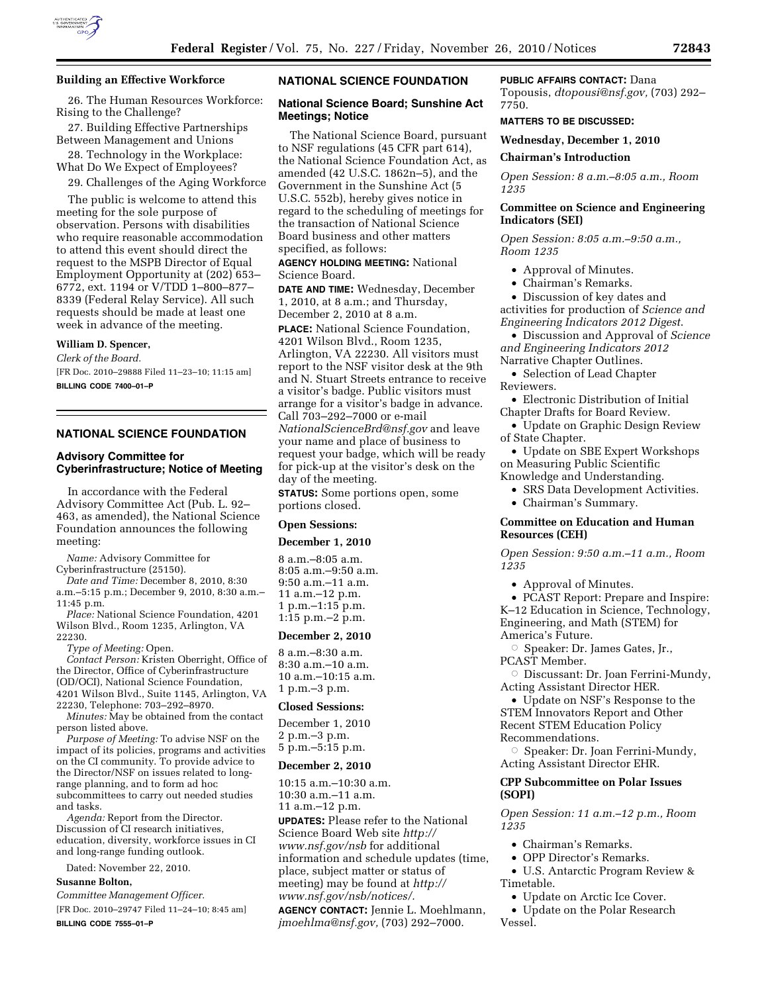

# **Building an Effective Workforce**

26. The Human Resources Workforce: Rising to the Challenge?

27. Building Effective Partnerships Between Management and Unions

28. Technology in the Workplace: What Do We Expect of Employees?

29. Challenges of the Aging Workforce

The public is welcome to attend this meeting for the sole purpose of observation. Persons with disabilities who require reasonable accommodation to attend this event should direct the request to the MSPB Director of Equal Employment Opportunity at (202) 653– 6772, ext. 1194 or V/TDD 1–800–877– 8339 (Federal Relay Service). All such requests should be made at least one week in advance of the meeting.

# **William D. Spencer,**

*Clerk of the Board.*  [FR Doc. 2010–29888 Filed 11–23–10; 11:15 am] **BILLING CODE 7400–01–P** 

# **NATIONAL SCIENCE FOUNDATION**

# **Advisory Committee for Cyberinfrastructure; Notice of Meeting**

In accordance with the Federal Advisory Committee Act (Pub. L. 92– 463, as amended), the National Science Foundation announces the following meeting:

*Name:* Advisory Committee for

Cyberinfrastructure (25150). *Date and Time:* December 8, 2010, 8:30

a.m.–5:15 p.m.; December 9, 2010, 8:30 a.m.– 11:45 p.m.

*Place:* National Science Foundation, 4201 Wilson Blvd., Room 1235, Arlington, VA 22230.

*Type of Meeting:* Open.

*Contact Person:* Kristen Oberright, Office of the Director, Office of Cyberinfrastructure (OD/OCI), National Science Foundation, 4201 Wilson Blvd., Suite 1145, Arlington, VA 22230, Telephone: 703–292–8970.

*Minutes:* May be obtained from the contact person listed above.

*Purpose of Meeting:* To advise NSF on the impact of its policies, programs and activities on the CI community. To provide advice to the Director/NSF on issues related to longrange planning, and to form ad hoc subcommittees to carry out needed studies and tasks.

*Agenda:* Report from the Director. Discussion of CI research initiatives, education, diversity, workforce issues in CI and long-range funding outlook.

Dated: November 22, 2010.

# **Susanne Bolton,**

*Committee Management Officer.* 

[FR Doc. 2010–29747 Filed 11–24–10; 8:45 am] **BILLING CODE 7555–01–P** 

# **NATIONAL SCIENCE FOUNDATION**

# **National Science Board; Sunshine Act Meetings; Notice**

The National Science Board, pursuant to NSF regulations (45 CFR part 614), the National Science Foundation Act, as amended (42 U.S.C. 1862n–5), and the Government in the Sunshine Act (5 U.S.C. 552b), hereby gives notice in regard to the scheduling of meetings for the transaction of National Science Board business and other matters specified, as follows:

**AGENCY HOLDING MEETING:** National Science Board.

**DATE AND TIME:** Wednesday, December 1, 2010, at 8 a.m.; and Thursday, December 2, 2010 at 8 a.m. **PLACE:** National Science Foundation, 4201 Wilson Blvd., Room 1235, Arlington, VA 22230. All visitors must report to the NSF visitor desk at the 9th and N. Stuart Streets entrance to receive a visitor's badge. Public visitors must arrange for a visitor's badge in advance. Call 703–292–7000 or e-mail *[NationalScienceBrd@nsf.gov](mailto:NationalScienceBrd@nsf.gov)* and leave your name and place of business to request your badge, which will be ready for pick-up at the visitor's desk on the day of the meeting.

**STATUS:** Some portions open, some portions closed.

# **Open Sessions:**

#### **December 1, 2010**

8 a.m.–8:05 a.m. 8:05 a.m.–9:50 a.m. 9:50 a.m.–11 a.m. 11 a.m.–12 p.m. 1 p.m.–1:15 p.m. 1:15 p.m.–2 p.m.

#### **December 2, 2010**

8 a.m.–8:30 a.m. 8:30 a.m.–10 a.m. 10 a.m.–10:15 a.m. 1 p.m.–3 p.m.

#### **Closed Sessions:**

December 1, 2010 2 p.m.–3 p.m. 5 p.m.–5:15 p.m.

#### **December 2, 2010**

10:15 a.m.–10:30 a.m. 10:30 a.m.–11 a.m. 11 a.m.–12 p.m.

**UPDATES:** Please refer to the National Science Board Web site *[http://](http://www.nsf.gov/nsb)  [www.nsf.gov/nsb](http://www.nsf.gov/nsb)* for additional information and schedule updates (time, place, subject matter or status of meeting) may be found at *[http://](http://www.nsf.gov/nsb/notices/)  [www.nsf.gov/nsb/notices/.](http://www.nsf.gov/nsb/notices/)* 

**AGENCY CONTACT:** Jennie L. Moehlmann, *[jmoehlma@nsf.gov,](mailto:jmoehlma@nsf.gov)* (703) 292–7000.

# **PUBLIC AFFAIRS CONTACT:** Dana

Topousis, *[dtopousi@nsf.gov,](mailto:dtopousi@nsf.gov)* (703) 292– 7750.

#### **MATTERS TO BE DISCUSSED:**

**Wednesday, December 1, 2010** 

**Chairman's Introduction** 

*Open Session: 8 a.m.–8:05 a.m., Room 1235* 

# **Committee on Science and Engineering Indicators (SEI)**

*Open Session: 8:05 a.m.–9:50 a.m., Room 1235* 

- Approval of Minutes.
- Chairman's Remarks.

• Discussion of key dates and activities for production of *Science and Engineering Indicators 2012 Digest*.

• Discussion and Approval of *Science and Engineering Indicators 2012*  Narrative Chapter Outlines.

• Selection of Lead Chapter Reviewers.

• Electronic Distribution of Initial Chapter Drafts for Board Review.

• Update on Graphic Design Review of State Chapter.

• Update on SBE Expert Workshops on Measuring Public Scientific Knowledge and Understanding.

• SRS Data Development Activities.

• Chairman's Summary.

# **Committee on Education and Human Resources (CEH)**

*Open Session: 9:50 a.m.–11 a.m., Room 1235* 

• Approval of Minutes.

• PCAST Report: Prepare and Inspire: K–12 Education in Science, Technology, Engineering, and Math (STEM) for America's Future.

Æ Speaker: Dr. James Gates, Jr., PCAST Member.

O Discussant: Dr. Joan Ferrini-Mundy, Acting Assistant Director HER.

• Update on NSF's Response to the STEM Innovators Report and Other Recent STEM Education Policy Recommendations.

Æ Speaker: Dr. Joan Ferrini-Mundy, Acting Assistant Director EHR.

# **CPP Subcommittee on Polar Issues (SOPI)**

*Open Session: 11 a.m.–12 p.m., Room 1235* 

- Chairman's Remarks.
- OPP Director's Remarks.
- U.S. Antarctic Program Review & Timetable.
	- Update on Arctic Ice Cover.
	- Update on the Polar Research
- Vessel.